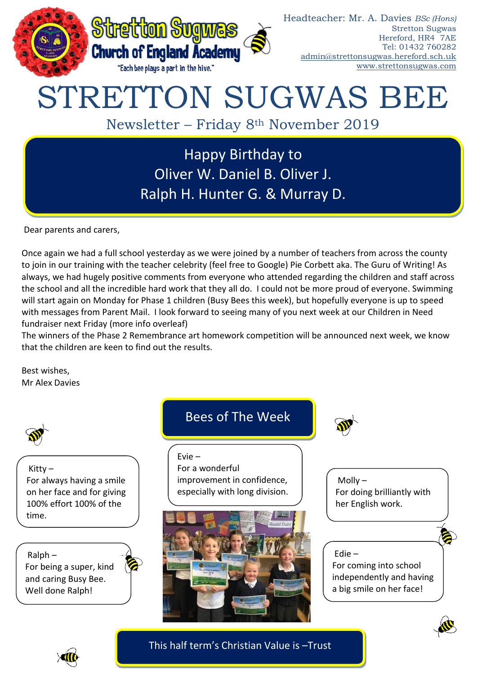

# STRETTON SUGWAS BEE

Newsletter – Friday 8th November 2019

Happy Birthday to Oliver W. Daniel B. Oliver J. Ralph H. Hunter G. & Murray D.

Dear parents and carers,

Once again we had a full school yesterday as we were joined by a number of teachers from across the county to join in our training with the teacher celebrity (feel free to Google) Pie Corbett aka. The Guru of Writing! As always, we had hugely positive comments from everyone who attended regarding the children and staff across the school and all the incredible hard work that they all do. I could not be more proud of everyone. Swimming will start again on Monday for Phase 1 children (Busy Bees this week), but hopefully everyone is up to speed with messages from Parent Mail. I look forward to seeing many of you next week at our Children in Need fundraiser next Friday (more info overleaf)

The winners of the Phase 2 Remembrance art homework competition will be announced next week, we know that the children are keen to find out the results.

Best wishes, Mr Alex Davies



Kitty – For always having a smile on her face and for giving 100% effort 100% of the time.

Ralph – For being a super, kind and caring Busy Bee. Well done Ralph!

# Bees of The Week

Evie –

For a wonderful improvement in confidence, especially with long division.





Molly – For doing brilliantly with her English work.

### Edie –

For coming into school independently and having a big smile on her face!



This half term's Christian Value is –Trust